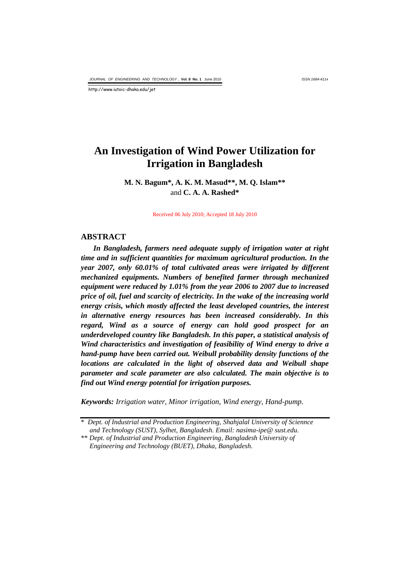*ISSN 1684-4114*

http://www.iutoic-dhaka.edu/jet

# **An Investigation of Wind Power Utilization for Irrigation in Bangladesh**

**M. N. Bagum\*, A. K. M. Masud\*\*, M. Q. Islam\*\*** and **C. A. A. Rashed\***

Received 06 July 2010; Accepted 18 July 2010

#### **ABSTRACT**

*In Bangladesh, farmers need adequate supply of irrigation water at right time and in sufficient quantities for maximum agricultural production. In the year 2007, only 60.01% of total cultivated areas were irrigated by different mechanized equipments. Numbers of benefited farmer through mechanized equipment were reduced by 1.01% from the year 2006 to 2007 due to increased price of oil, fuel and scarcity of electricity. In the wake of the increasing world energy crisis, which mostly affected the least developed countries, the interest in alternative energy resources has been increased considerably. In this regard, Wind as a source of energy can hold good prospect for an underdeveloped country like Bangladesh. In this paper, a statistical analysis of Wind characteristics and investigation of feasibility of Wind energy to drive a hand-pump have been carried out. Weibull probability density functions of the locations are calculated in the light of observed data and Weibull shape parameter and scale parameter are also calculated. The main objective is to find out Wind energy potential for irrigation purposes.*

*Keywords: Irrigation water, Minor irrigation, Wind energy, Hand-pump.*

<sup>\*</sup> *Dept. of Industrial and Production Engineering, Shahjalal University of Sciennce and Technology (SUST), Sylhet, Bangladesh. Email: nasima-ipe@ sust.edu.*

<sup>\*\*</sup> *Dept. of Industrial and Production Engineering, Bangladesh University of Engineering and Technology (BUET), Dhaka, Bangladesh.*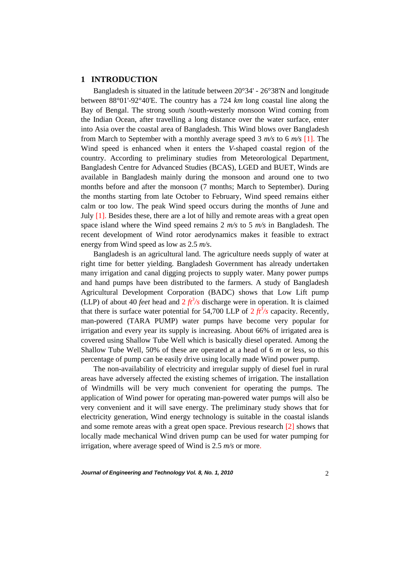# **1 INTRODUCTION**

Bangladesh is situated in the latitude between 20°34' - 26°38'N and longitude between 88°01'-92°40'E. The country has a 724 *km* long coastal line along the Bay of Bengal. The strong south /south-westerly monsoon Wind coming from the Indian Ocean, after travelling a long distance over the water surface, enter into Asia over the coastal area of Bangladesh. This Wind blows over Bangladesh from March to September with a monthly average speed 3 *m/s* to 6 *m/s* [1]. The Wind speed is enhanced when it enters the *V-*shaped coastal region of the country. According to preliminary studies from Meteorological Department, Bangladesh Centre for Advanced Studies (BCAS), LGED and BUET, Winds are available in Bangladesh mainly during the monsoon and around one to two months before and after the monsoon (7 months; March to September). During the months starting from late October to February, Wind speed remains either calm or too low. The peak Wind speed occurs during the months of June and July [1]. Besides these, there are a lot of hilly and remote areas with a great open space island where the Wind speed remains 2 *m/s* to 5 *m/s* in Bangladesh. The recent development of Wind rotor aerodynamics makes it feasible to extract energy from Wind speed as low as 2.5 *m/s*.

Bangladesh is an agricultural land. The agriculture needs supply of water at right time for better yielding. Bangladesh Government has already undertaken many irrigation and canal digging projects to supply water. Many power pumps and hand pumps have been distributed to the farmers. A study of Bangladesh Agricultural Development Corporation (BADC) shows that Low Lift pump (LLP) of about 40 *feet* head and  $2 f t^3/s$  discharge were in operation. It is claimed that there is surface water potential for 54,700 LLP of  $2 ft<sup>3</sup>/s$  capacity. Recently, man-powered (TARA PUMP) water pumps have become very popular for irrigation and every year its supply is increasing. About 66% of irrigated area is covered using Shallow Tube Well which is basically diesel operated. Among the Shallow Tube Well, 50% of these are operated at a head of 6 *m* or less*,* so this percentage of pump can be easily drive using locally made Wind power pump.

The non-availability of electricity and irregular supply of diesel fuel in rural areas have adversely affected the existing schemes of irrigation. The installation of Windmills will be very much convenient for operating the pumps. The application of Wind power for operating man-powered water pumps will also be very convenient and it will save energy. The preliminary study shows that for electricity generation, Wind energy technology is suitable in the coastal islands and some remote areas with a great open space. Previous research [2] shows that locally made mechanical Wind driven pump can be used for water pumping for irrigation, where average speed of Wind is 2.5 *m/s* or more.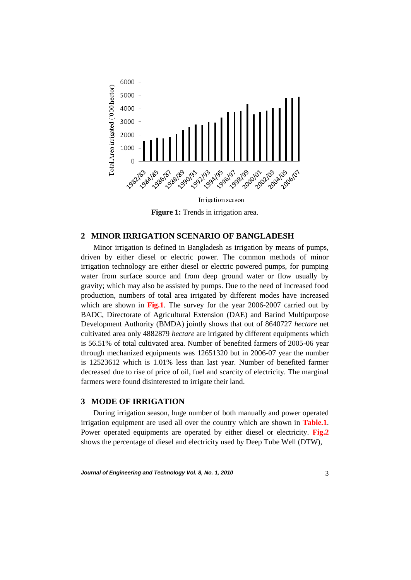

**Figure 1:** Trends in irrigation area.

### **2 MINOR IRRIGATION SCENARIO OF BANGLADESH**

Minor irrigation is defined in Bangladesh as irrigation by means of pumps, driven by either diesel or electric power. The common methods of minor irrigation technology are either diesel or electric powered pumps, for pumping water from surface source and from deep ground water or flow usually by gravity; which may also be assisted by pumps. Due to the need of increased food production, numbers of total area irrigated by different modes have increased which are shown in **Fig.1**. The survey for the year 2006-2007 carried out by BADC, Directorate of Agricultural Extension (DAE) and Barind Multipurpose Development Authority (BMDA) jointly shows that out of 8640727 *hectare* net cultivated area only 4882879 *hectare* are irrigated by different equipments which is 56.51% of total cultivated area. Number of benefited farmers of 2005-06 year through mechanized equipments was 12651320 but in 2006-07 year the number is 12523612 which is 1.01% less than last year. Number of benefited farmer decreased due to rise of price of oil, fuel and scarcity of electricity. The marginal farmers were found disinterested to irrigate their land.

# **3 MODE OF IRRIGATION**

During irrigation season, huge number of both manually and power operated irrigation equipment are used all over the country which are shown in **Table.1**. Power operated equipments are operated by either diesel or electricity. **Fig.2** shows the percentage of diesel and electricity used by Deep Tube Well (DTW),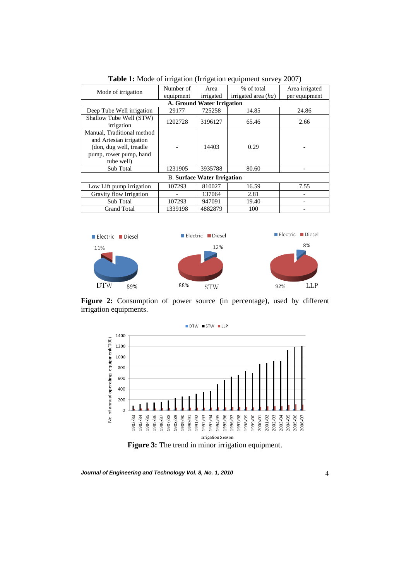| Mode of irrigation                 | Number of | Area            | % of total            | Area irrigated |  |  |  |  |  |  |  |
|------------------------------------|-----------|-----------------|-----------------------|----------------|--|--|--|--|--|--|--|
|                                    | equipment | irrigated       | irrigated area $(ha)$ | per equipment  |  |  |  |  |  |  |  |
| A. Ground Water Irrigation         |           |                 |                       |                |  |  |  |  |  |  |  |
| Deep Tube Well irrigation          | 29177     | 725258          | 14.85                 | 24.86          |  |  |  |  |  |  |  |
| Shallow Tube Well (STW)            | 1202728   | 3196127         | 65.46                 | 2.66           |  |  |  |  |  |  |  |
| irrigation                         |           |                 |                       |                |  |  |  |  |  |  |  |
| Manual, Traditional method         |           |                 |                       |                |  |  |  |  |  |  |  |
| and Artesian irrigation            |           | 14403           |                       |                |  |  |  |  |  |  |  |
| (don, dug well, treadle)           |           |                 | 0.29                  |                |  |  |  |  |  |  |  |
| pump, rower pump, hand             |           |                 |                       |                |  |  |  |  |  |  |  |
| tube well)                         |           |                 |                       |                |  |  |  |  |  |  |  |
| Sub Total                          | 1231905   | 3935788         | 80.60                 |                |  |  |  |  |  |  |  |
| <b>B.</b> Surface Water Irrigation |           |                 |                       |                |  |  |  |  |  |  |  |
| Low Lift pump irrigation           | 107293    | 810027<br>16.59 |                       | 7.55           |  |  |  |  |  |  |  |
| Gravity flow Irrigation            |           |                 | 2.81                  |                |  |  |  |  |  |  |  |
| Sub Total                          | 107293    | 947091          | 19.40                 |                |  |  |  |  |  |  |  |
| <b>Grand Total</b>                 | 1339198   | 4882879         | 100                   |                |  |  |  |  |  |  |  |

**Table 1:** Mode of irrigation (Irrigation equipment survey 2007)



**Figure 2:** Consumption of power source (in percentage), used by different irrigation equipments.

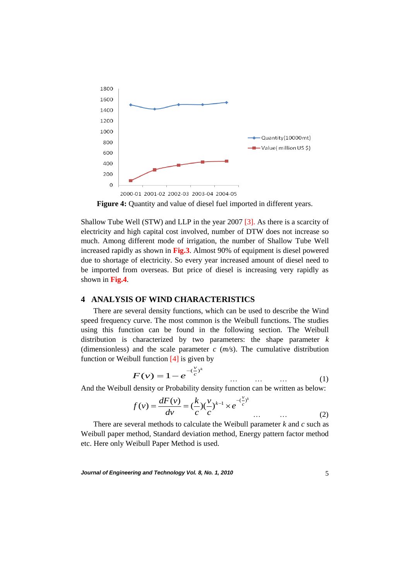

**Figure 4:** Quantity and value of diesel fuel imported in different years.

Shallow Tube Well (STW) and LLP in the year 2007 [3]. As there is a scarcity of electricity and high capital cost involved, number of DTW does not increase so much. Among different mode of irrigation, the number of Shallow Tube Well increased rapidly as shown in **Fig.3**. Almost 90% of equipment is diesel powered due to shortage of electricity. So every year increased amount of diesel need to be imported from overseas. But price of diesel is increasing very rapidly as shown in **Fig.4**.

## **4 ANALYSIS OF WIND CHARACTERISTICS**

There are several density functions, which can be used to describe the Wind speed frequency curve. The most common is the Weibull functions. The studies using this function can be found in the following section. The Weibull distribution is characterized by two parameters: the shape parameter *k* (dimensionless) and the scale parameter *c* (*m/s*). The cumulative distribution function or Weibull function  $[4]$  is given by

$$
F(v) = 1 - e^{-\left(\frac{v}{c}\right)^k} \qquad \dots \qquad \dots \qquad \dots \qquad (1)
$$

And the Weibull density or Probability density function can be written as below:

$$
f(v) = \frac{dF(v)}{dv} = \left(\frac{k}{c}\right)\left(\frac{v}{c}\right)^{k-1} \times e^{-\left(\frac{v}{c}\right)^k}
$$
 ... ... (2)

There are several methods to calculate the Weibull parameter *k* and *c* such as Weibull paper method, Standard deviation method, Energy pattern factor method etc. Here only Weibull Paper Method is used.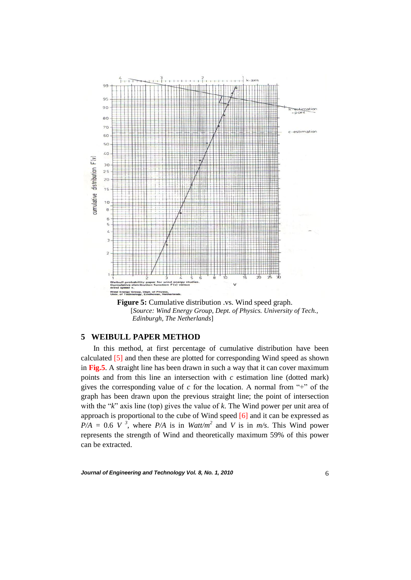

**Figure 5:** Cumulative distribution .vs. Wind speed graph. [*Source: Wind Energy Group, Dept. of Physics. University of Tech., Edinburgh, The Netherlands*]

# **5 WEIBULL PAPER METHOD**

In this method, at first percentage of cumulative distribution have been calculated [5] and then these are plotted for corresponding Wind speed as shown in **Fig.5**. A straight line has been drawn in such a way that it can cover maximum points and from this line an intersection with *c* estimation line (dotted mark) gives the corresponding value of  $c$  for the location. A normal from "+" of the graph has been drawn upon the previous straight line; the point of intersection with the "*k*" axis line (top) gives the value of *k*. The Wind power per unit area of approach is proportional to the cube of Wind speed [6] and it can be expressed as  $P/A = 0.6$  *V*<sup>3</sup>, where  $P/A$  is in *Watt/m*<sup>2</sup> and *V* is in *m/s*. This Wind power represents the strength of Wind and theoretically maximum 59% of this power can be extracted.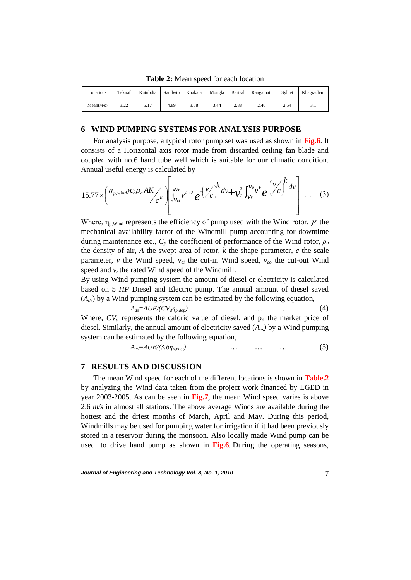| Locations | Teknaf       | Kutubdia | Sandwip | Kuakata | Mongla | Barisal | Rangamati | Sylhet | Khagrachari |
|-----------|--------------|----------|---------|---------|--------|---------|-----------|--------|-------------|
| Mean(m/s) | າ າາ<br>J.LL | 5.17     | 4.89    | 3.58    | 3.44   | 2.88    | 2.40      | 2.54   |             |

**Table 2:** Mean speed for each location

### **6 WIND PUMPING SYSTEMS FOR ANALYSIS PURPOSE**

For analysis purpose, a typical rotor pump set was used as shown in **Fig.6**. It consists of a Horizontal axis rotor made from discarded ceiling fan blade and coupled with no.6 hand tube well which is suitable for our climatic condition. Annual useful energy is calculated by

$$
15.77 \times \left(\frac{\eta_{p,wind} \kappa_p \rho_a A K}{c^k}\right) \left[\int_{\nu_{ci}}^{\nu_r} v^{k+2} e^{-\left(\frac{\nu}{c}\right)^k dv} + \nu_r^3 \int_{\nu_r}^{\nu_o} v^k e^{-\left(\frac{\nu}{c}\right)^k dv}\right] \dots (3)
$$

Where,  $\eta_{p, Wind}$  represents the efficiency of pump used with the Wind rotor,  $\gamma$  the mechanical availability factor of the Windmill pump accounting for downtime during maintenance etc.,  $C_p$  the coefficient of performance of the Wind rotor,  $\rho_a$ the density of air,  $A$  the swept area of rotor,  $k$  the shape parameter,  $c$  the scale parameter, *v* the Wind speed, *vci* the cut-in Wind speed, *vco* the cut-out Wind speed and  $v_r$ , the rated Wind speed of the Windmill.

By using Wind pumping system the amount of diesel or electricity is calculated based on 5 *HP* Diesel and Electric pump. The annual amount of diesel saved  $(A_{ds})$  by a Wind pumping system can be estimated by the following equation,

 $A_{ds} = AUE/(CV_d\eta_{p,dep})$  … … … … … (4) Where,  $CV_d$  represents the caloric value of diesel, and  $p_d$  the market price of diesel. Similarly, the annual amount of electricity saved (*Aes)* by a Wind pumping system can be estimated by the following equation,

$$
A_{es}=AUE/(3.6\eta_{p,emp}) \qquad \qquad \dots \qquad \dots \qquad \dots \qquad (5)
$$

### **7 RESULTS AND DISCUSSION**

The mean Wind speed for each of the different locations is shown in **Table.2** by analyzing the Wind data taken from the project work financed by LGED in year 2003-2005. As can be seen in **Fig.7**, the mean Wind speed varies is above 2.6 *m/s* in almost all stations. The above average Winds are available during the hottest and the driest months of March, April and May. During this period, Windmills may be used for pumping water for irrigation if it had been previously stored in a reservoir during the monsoon. Also locally made Wind pump can be used to drive hand pump as shown in **Fig.6**. During the operating seasons,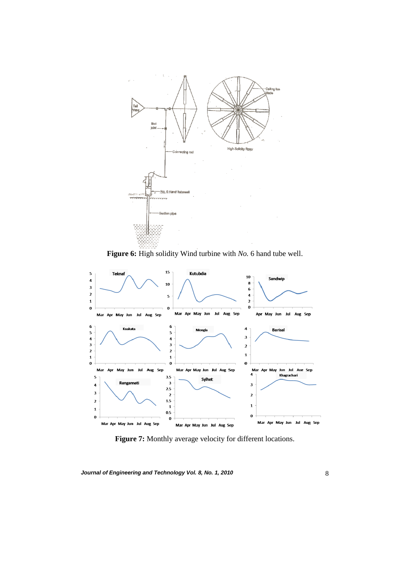

**Figure 6:** High solidity Wind turbine with *No.* 6 hand tube well.



**Figure 7:** Monthly average velocity for different locations.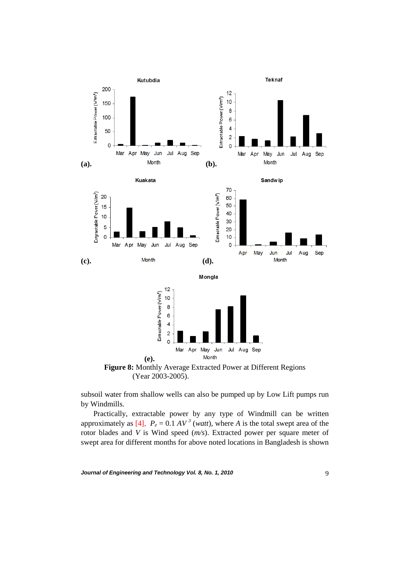

**Figure 8:** Monthly Average Extracted Power at Different Regions (Year 2003-2005).

subsoil water from shallow wells can also be pumped up by Low Lift pumps run by Windmills.

Practically, extractable power by any type of Windmill can be written approximately as  $[4]$ ,  $P_e = 0.1 \, AV^3$  (*watt*), where *A* is the total swept area of the rotor blades and *V* is Wind speed (*m/s*). Extracted power per square meter of swept area for different months for above noted locations in Bangladesh is shown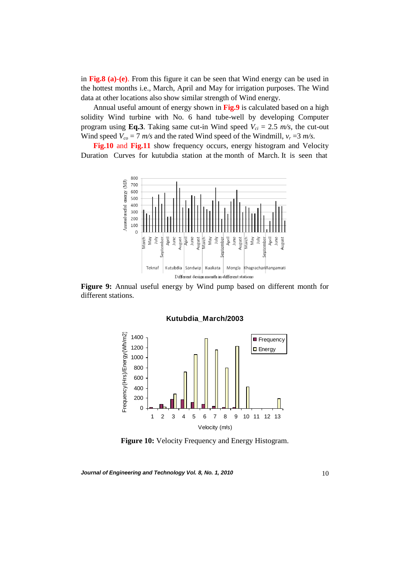in **Fig.8 (a)-(e)**. From this figure it can be seen that Wind energy can be used in the hottest months i.e., March, April and May for irrigation purposes. The Wind data at other locations also show similar strength of Wind energy.

Annual useful amount of energy shown in **Fig.9** is calculated based on a high solidity Wind turbine with No. 6 hand tube-well by developing Computer program using **Eq.3**. Taking same cut-in Wind speed  $V_{ci} = 2.5$  m/s, the cut-out Wind speed  $V_{co} = 7$  *m/s* and the rated Wind speed of the Windmill,  $v_r = 3$  *m/s.* 

**Fig.10** and **Fig.11** show frequency occurs, energy histogram and Velocity Duration Curves for kutubdia station at the month of March. It is seen that



**Figure 9:** Annual useful energy by Wind pump based on different month for different stations.

**Kutubdia\_March/2003**

Frequency(Hrs)/Energy(Wh/m2) Frequency(Hrs)/Energy(Wh/m2) 1400 **Frequency** 1200 **D** Energy 1000 800 600 400 200 0 1 2 3 4 5 6 7 8 9 10 11 12 13 Velocity (m/s)

**Figure 10:** Velocity Frequency and Energy Histogram.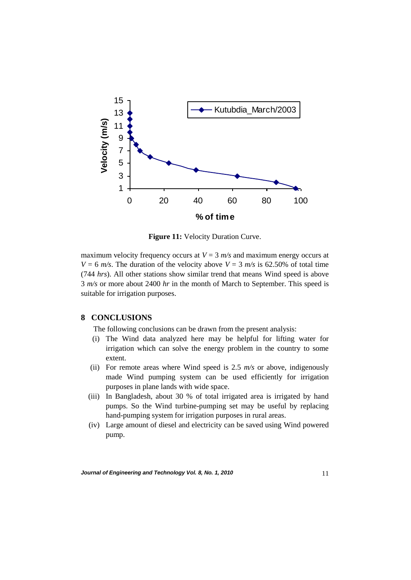

**Figure 11:** Velocity Duration Curve.

maximum velocity frequency occurs at  $V = 3$   $m/s$  and maximum energy occurs at *V* = 6 *m/s*. The duration of the velocity above *V* = 3 *m/s* is 62.50% of total time (744 *hrs*). All other stations show similar trend that means Wind speed is above 3 *m/s* or more about 2400 *hr* in the month of March to September. This speed is suitable for irrigation purposes.

## **8 CONCLUSIONS**

The following conclusions can be drawn from the present analysis:

- (i) The Wind data analyzed here may be helpful for lifting water for irrigation which can solve the energy problem in the country to some extent.
- (ii) For remote areas where Wind speed is 2.5 *m/s* or above, indigenously made Wind pumping system can be used efficiently for irrigation purposes in plane lands with wide space.
- (iii) In Bangladesh, about 30 % of total irrigated area is irrigated by hand pumps. So the Wind turbine-pumping set may be useful by replacing hand-pumping system for irrigation purposes in rural areas.
- (iv) Large amount of diesel and electricity can be saved using Wind powered pump.